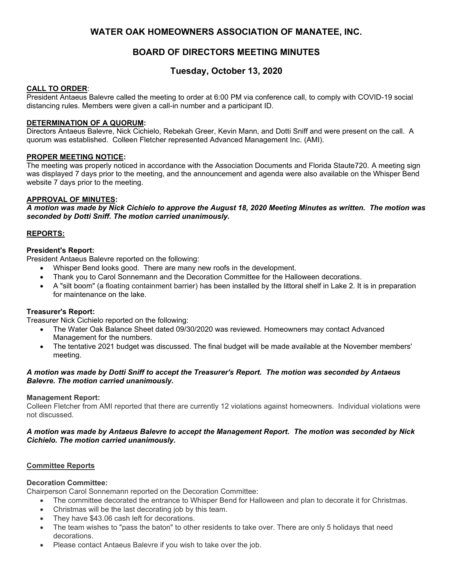## **WATER OAK HOMEOWNERS ASSOCIATION OF MANATEE, INC.**

# **BOARD OF DIRECTORS MEETING MINUTES**

# **Tuesday, October 13, 2020**

## **CALL TO ORDER**:

President Antaeus Balevre called the meeting to order at 6:00 PM via conference call, to comply with COVID-19 social distancing rules. Members were given a call-in number and a participant ID.

## **DETERMINATION OF A QUORUM:**

Directors Antaeus Balevre, Nick Cichielo, Rebekah Greer, Kevin Mann, and Dotti Sniff and were present on the call. A quorum was established. Colleen Fletcher represented Advanced Management Inc. (AMI).

## **PROPER MEETING NOTICE:**

The meeting was properly noticed in accordance with the Association Documents and Florida Staute720. A meeting sign was displayed 7 days prior to the meeting, and the announcement and agenda were also available on the Whisper Bend website 7 days prior to the meeting.

## **APPROVAL OF MINUTES:**

*A motion was made by Nick Cichielo to approve the August 18, 2020 Meeting Minutes as written. The motion was seconded by Dotti Sniff. The motion carried unanimously.* 

## **REPORTS:**

## **President's Report:**

President Antaeus Balevre reported on the following:

- Whisper Bend looks good. There are many new roofs in the development.
- Thank you to Carol Sonnemann and the Decoration Committee for the Halloween decorations.
- A "silt boom" (a floating containment barrier) has been installed by the littoral shelf in Lake 2. It is in preparation for maintenance on the lake.

### **Treasurer's Report:**

Treasurer Nick Cichielo reported on the following:

- The Water Oak Balance Sheet dated 09/30/2020 was reviewed. Homeowners may contact Advanced Management for the numbers.
- The tentative 2021 budget was discussed. The final budget will be made available at the November members' meeting.

## *A motion was made by Dotti Sniff to accept the Treasurer's Report. The motion was seconded by Antaeus Balevre. The motion carried unanimously.*

### **Management Report:**

Colleen Fletcher from AMI reported that there are currently 12 violations against homeowners. Individual violations were not discussed.

## *A motion was made by Antaeus Balevre to accept the Management Report. The motion was seconded by Nick Cichielo. The motion carried unanimously.*

### **Committee Reports**

### **Decoration Committee:**

Chairperson Carol Sonnemann reported on the Decoration Committee:

- The committee decorated the entrance to Whisper Bend for Halloween and plan to decorate it for Christmas.
- Christmas will be the last decorating job by this team.
- They have \$43.06 cash left for decorations.
- The team wishes to "pass the baton" to other residents to take over. There are only 5 holidays that need decorations.
- Please contact Antaeus Balevre if you wish to take over the job.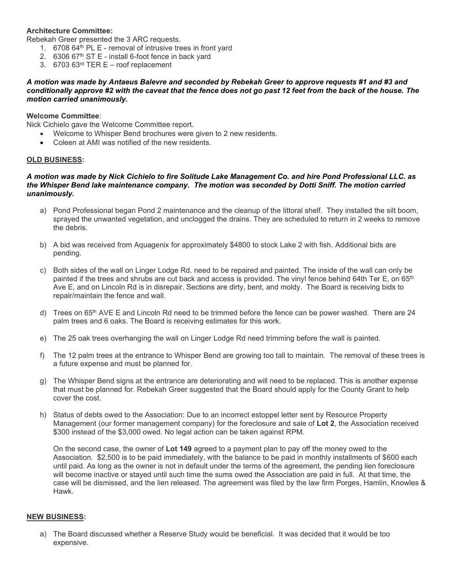## **Architecture Committee:**

Rebekah Greer presented the 3 ARC requests.

- 1.  $670864<sup>th</sup> PL E$  removal of intrusive trees in front yard
- 2.  $630667<sup>th</sup> ST E install 6-foot fence in back yard$
- 3. 6703 63rd TER E roof replacement

*A motion was made by Antaeus Balevre and seconded by Rebekah Greer to approve requests #1 and #3 and conditionally approve #2 with the caveat that the fence does not go past 12 feet from the back of the house. The motion carried unanimously.*

### **Welcome Committee**:

Nick Cichielo gave the Welcome Committee report.

- Welcome to Whisper Bend brochures were given to 2 new residents.
- Coleen at AMI was notified of the new residents.

#### **OLD BUSINESS:**

#### *A motion was made by Nick Cichielo to fire Solitude Lake Management Co. and hire Pond Professional LLC. as the Whisper Bend lake maintenance company. The motion was seconded by Dotti Sniff. The motion carried unanimously.*

- a) Pond Professional began Pond 2 maintenance and the cleanup of the littoral shelf. They installed the silt boom, sprayed the unwanted vegetation, and unclogged the drains. They are scheduled to return in 2 weeks to remove the debris.
- b) A bid was received from Aquagenix for approximately \$4800 to stock Lake 2 with fish. Additional bids are pending.
- c) Both sides of the wall on Linger Lodge Rd. need to be repaired and painted. The inside of the wall can only be painted if the trees and shrubs are cut back and access is provided. The vinyl fence behind 64th Ter E, on 65<sup>th</sup> Ave E, and on Lincoln Rd is in disrepair. Sections are dirty, bent, and moldy. The Board is receiving bids to repair/maintain the fence and wall.
- d) Trees on 65<sup>th</sup> AVE E and Lincoln Rd need to be trimmed before the fence can be power washed. There are 24 palm trees and 6 oaks. The Board is receiving estimates for this work.
- e) The 25 oak trees overhanging the wall on Linger Lodge Rd need trimming before the wall is painted.
- f) The 12 palm trees at the entrance to Whisper Bend are growing too tall to maintain. The removal of these trees is a future expense and must be planned for.
- g) The Whisper Bend signs at the entrance are deteriorating and will need to be replaced. This is another expense that must be planned for. Rebekah Greer suggested that the Board should apply for the County Grant to help cover the cost.
- h) Status of debts owed to the Association: Due to an incorrect estoppel letter sent by Resource Property Management (our former management company) for the foreclosure and sale of **Lot 2**, the Association received \$300 instead of the \$3,000 owed. No legal action can be taken against RPM.

On the second case, the owner of **Lot 149** agreed to a payment plan to pay off the money owed to the Association. \$2,500 is to be paid immediately, with the balance to be paid in monthly installments of \$600 each until paid. As long as the owner is not in default under the terms of the agreement, the pending lien foreclosure will become inactive or stayed until such time the sums owed the Association are paid in full. At that time, the case will be dismissed, and the lien released. The agreement was filed by the law firm Porges, Hamlin, Knowles & Hawk.

### **NEW BUSINESS:**

a) The Board discussed whether a Reserve Study would be beneficial. It was decided that it would be too expensive.